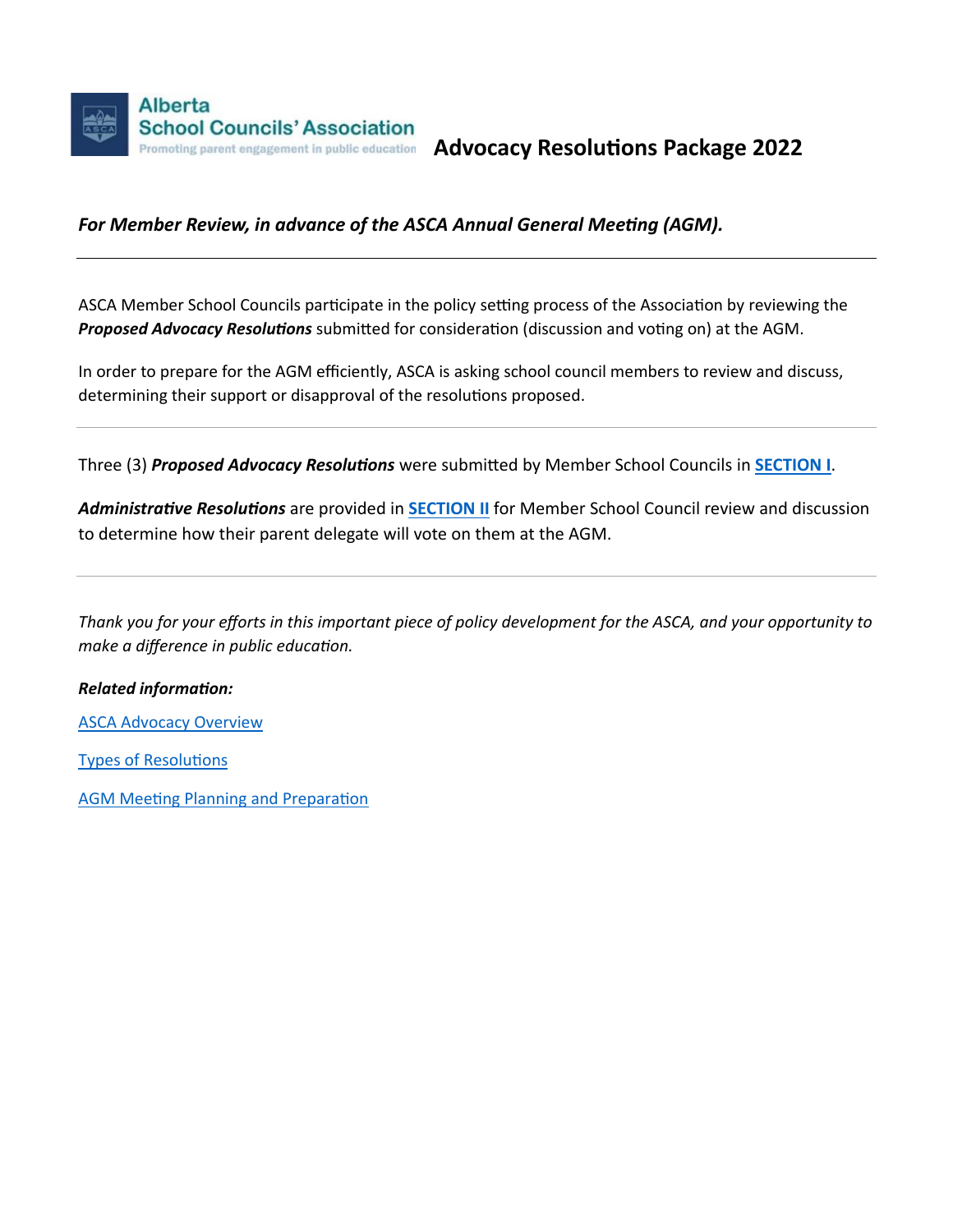

**Advocacy Resolutions Package 2022**

# *For Member Review, in advance of the ASCA Annual General Meeting (AGM).*

ASCA Member School Councils participate in the policy setting process of the Association by reviewing the *Proposed Advocacy Resolutions* submitted for consideration (discussion and voting on) at the AGM.

In order to prepare for the AGM efficiently, ASCA is asking school council members to review and discuss, determining their support or disapproval of the resolutions proposed.

Three (3) *Proposed Advocacy Resolutions* were submitted by Member School Councils in **[SECTION I](#page-1-0)**.

*Administrative Resolutions* are provided in **[SECTION II](#page-6-0)** for Member School Council review and discussion to determine how their parent delegate will vote on them at the AGM.

*Thank you for your efforts in this important piece of policy development for the ASCA, and your opportunity to make a difference in public education.*

## *Related information:*

[ASCA Advocacy Overview](https://www.albertaschoolcouncils.ca/public/download/files/199615)

[Types of Resolutions](https://www.albertaschoolcouncils.ca/public/download/files/199617)

[AGM Meeting Planning and Preparation](https://www.albertaschoolcouncils.ca/public/download/files/199616)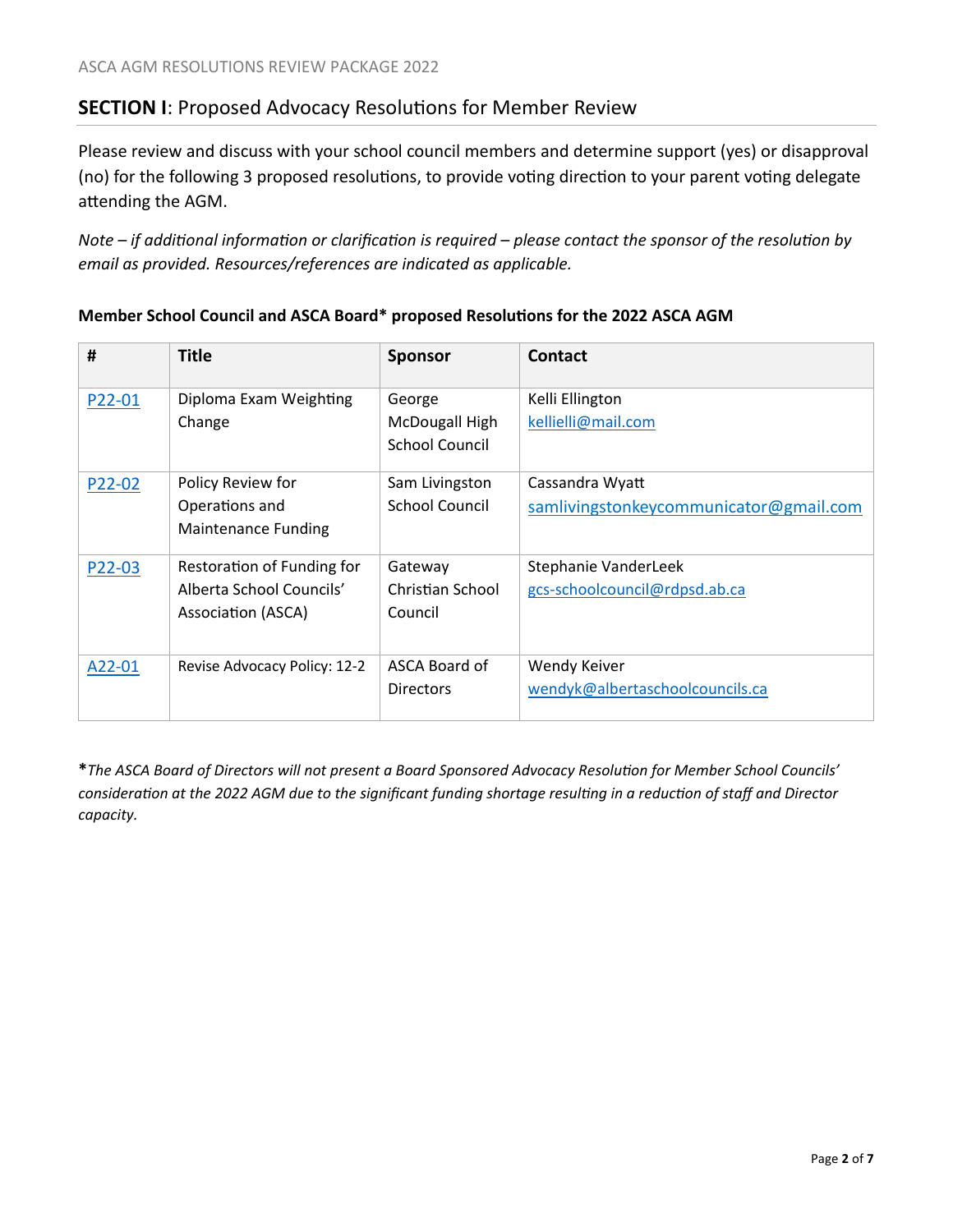# <span id="page-1-0"></span>**SECTION I**: Proposed Advocacy Resolutions for Member Review

Please review and discuss with your school council members and determine support (yes) or disapproval (no) for the following 3 proposed resolutions, to provide voting direction to your parent voting delegate attending the AGM.

*Note – if additional information or clarification is required – please contact the sponsor of the resolution by email as provided. Resources/references are indicated as applicable.*

| #      | <b>Title</b>                 | <b>Sponsor</b>        | Contact                                |
|--------|------------------------------|-----------------------|----------------------------------------|
| P22-01 | Diploma Exam Weighting       | George                | Kelli Ellington                        |
|        | Change                       | McDougall High        | kellielli@mail.com                     |
|        |                              | School Council        |                                        |
| P22-02 | Policy Review for            | Sam Livingston        | Cassandra Wyatt                        |
|        | Operations and               | <b>School Council</b> | samlivingstonkeycommunicator@gmail.com |
|        | <b>Maintenance Funding</b>   |                       |                                        |
| P22-03 | Restoration of Funding for   | Gateway               | Stephanie VanderLeek                   |
|        | Alberta School Councils'     | Christian School      | gcs-schoolcouncil@rdpsd.ab.ca          |
|        | Association (ASCA)           | Council               |                                        |
| A22-01 | Revise Advocacy Policy: 12-2 | ASCA Board of         | Wendy Keiver                           |
|        |                              | <b>Directors</b>      | wendyk@albertaschoolcouncils.ca        |

## **Member School Council and ASCA Board\* proposed Resolutions for the 2022 ASCA AGM**

**\****The ASCA Board of Directors will not present a Board Sponsored Advocacy Resolution for Member School Councils' consideration at the 2022 AGM due to the significant funding shortage resulting in a reduction of staff and Director capacity.*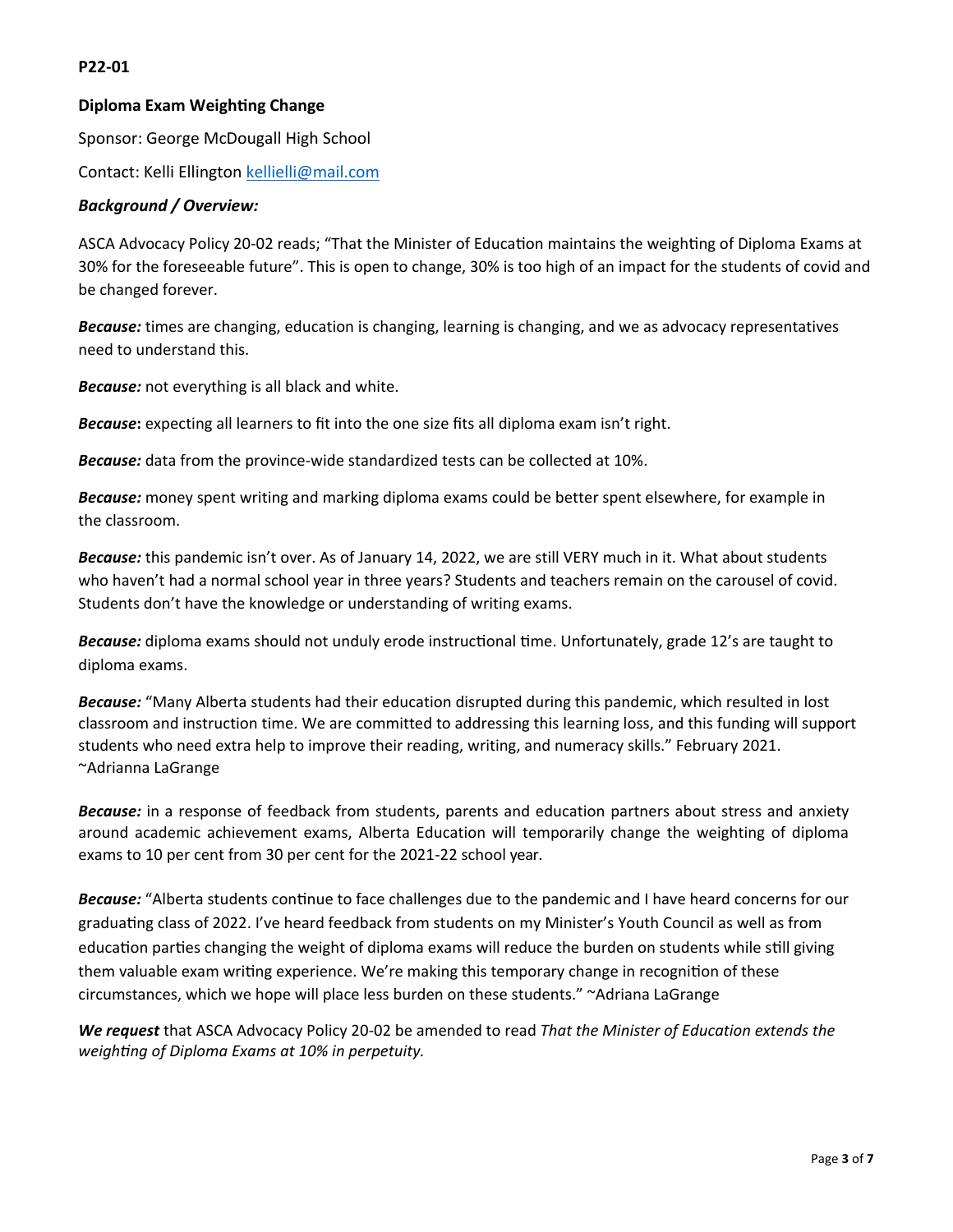## <span id="page-2-0"></span>**P22-01**

## **Diploma Exam Weighting Change**

Sponsor: George McDougall High School

Contact: Kelli Ellington [kellielli@mail.com](mailto:kellielli@mail.com)

### *Background / Overview:*

ASCA Advocacy Policy 20-02 reads; "That the Minister of Education maintains the weighting of Diploma Exams at 30% for the foreseeable future". This is open to change, 30% is too high of an impact for the students of covid and be changed forever.

*Because:* times are changing, education is changing, learning is changing, and we as advocacy representatives need to understand this.

*Because:* not everything is all black and white.

*Because***:** expecting all learners to fit into the one size fits all diploma exam isn't right.

*Because:* data from the province-wide standardized tests can be collected at 10%.

*Because:* money spent writing and marking diploma exams could be better spent elsewhere, for example in the classroom.

*Because:* this pandemic isn't over. As of January 14, 2022, we are still VERY much in it. What about students who haven't had a normal school year in three years? Students and teachers remain on the carousel of covid. Students don't have the knowledge or understanding of writing exams.

*Because:* diploma exams should not unduly erode instructional time. Unfortunately, grade 12's are taught to diploma exams.

*Because:* "Many Alberta students had their education disrupted during this pandemic, which resulted in lost classroom and instruction time. We are committed to addressing this learning loss, and this funding will support students who need extra help to improve their reading, writing, and numeracy skills." February 2021. ~Adrianna LaGrange

*Because:* in a response of feedback from students, parents and education partners about stress and anxiety around academic achievement exams, Alberta Education will temporarily change the weighting of diploma exams to 10 per cent from 30 per cent for the 2021-22 school year.

*Because:* "Alberta students continue to face challenges due to the pandemic and I have heard concerns for our graduating class of 2022. I've heard feedback from students on my Minister's Youth Council as well as from education parties changing the weight of diploma exams will reduce the burden on students while still giving them valuable exam writing experience. We're making this temporary change in recognition of these circumstances, which we hope will place less burden on these students." ~Adriana LaGrange

*We request* that ASCA Advocacy Policy 20-02 be amended to read *That the Minister of Education extends the weighting of Diploma Exams at 10% in perpetuity.*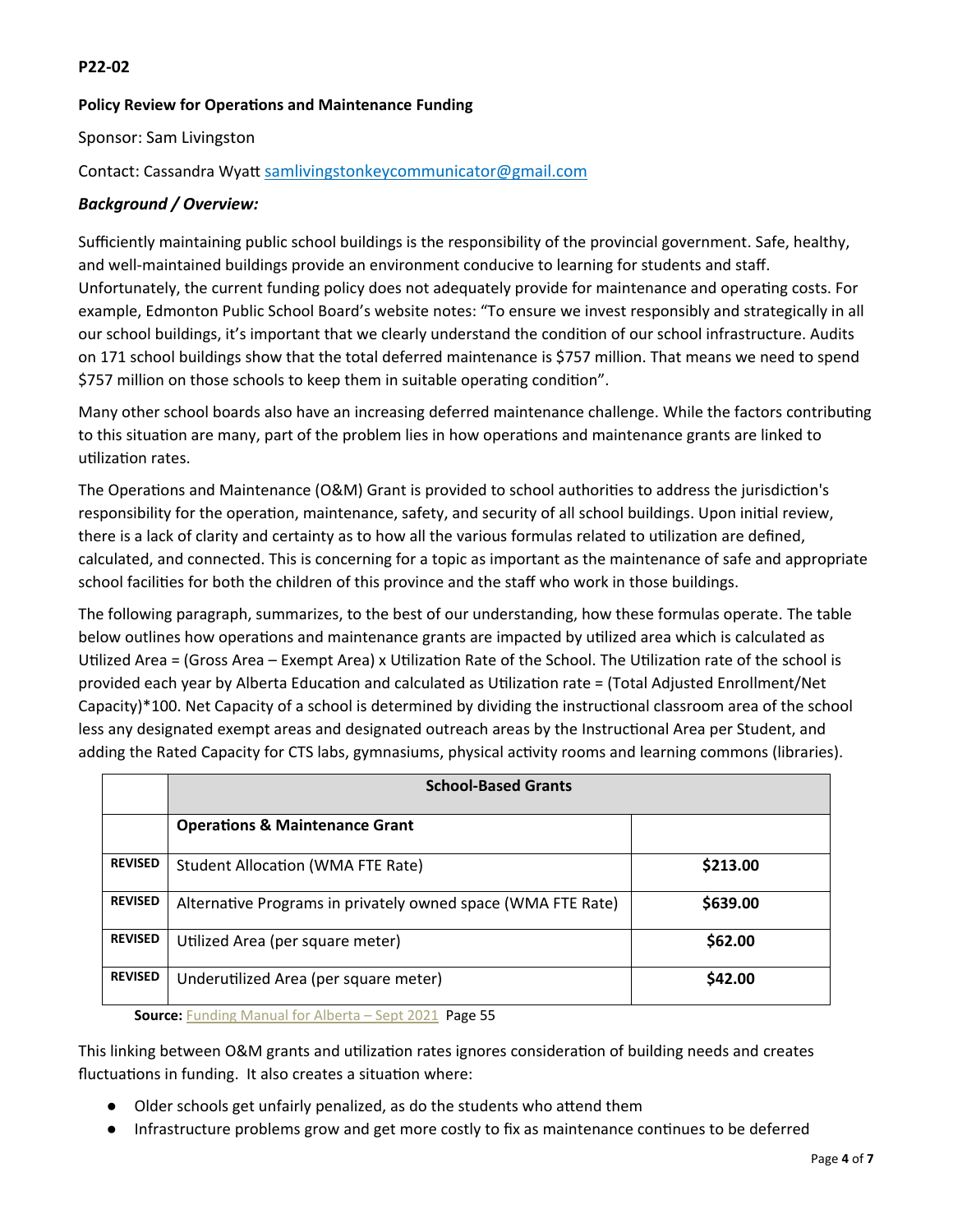## <span id="page-3-0"></span>**P22-02**

## **Policy Review for Operations and Maintenance Funding**

Sponsor: Sam Livingston

## Contact: Cassandra Wyatt [samlivingstonkeycommunicator@gmail.com](mailto:samlivingstonkeycommunicator@gmail.com)

## *Background / Overview:*

Sufficiently maintaining public school buildings is the responsibility of the provincial government. Safe, healthy, and well-maintained buildings provide an environment conducive to learning for students and staff. Unfortunately, the current funding policy does not adequately provide for maintenance and operating costs. For example, Edmonton Public School Board's website notes: "To ensure we invest responsibly and strategically in all our school buildings, it's important that we clearly understand the condition of our school infrastructure. Audits on 171 school buildings show that the total deferred maintenance is \$757 million. That means we need to spend \$757 million on those schools to keep them in suitable operating condition".

Many other school boards also have an increasing deferred maintenance challenge. While the factors contributing to this situation are many, part of the problem lies in how operations and maintenance grants are linked to utilization rates.

The Operations and Maintenance (O&M) Grant is provided to school authorities to address the jurisdiction's responsibility for the operation, maintenance, safety, and security of all school buildings. Upon initial review, there is a lack of clarity and certainty as to how all the various formulas related to utilization are defined, calculated, and connected. This is concerning for a topic as important as the maintenance of safe and appropriate school facilities for both the children of this province and the staff who work in those buildings.

The following paragraph, summarizes, to the best of our understanding, how these formulas operate. The table below outlines how operations and maintenance grants are impacted by utilized area which is calculated as Utilized Area = (Gross Area – Exempt Area) x Utilization Rate of the School. The Utilization rate of the school is provided each year by Alberta Education and calculated as Utilization rate = (Total Adjusted Enrollment/Net Capacity)\*100. Net Capacity of a school is determined by dividing the instructional classroom area of the school less any designated exempt areas and designated outreach areas by the Instructional Area per Student, and adding the Rated Capacity for CTS labs, gymnasiums, physical activity rooms and learning commons (libraries).

|                | <b>School-Based Grants</b>                                   |          |  |
|----------------|--------------------------------------------------------------|----------|--|
|                | <b>Operations &amp; Maintenance Grant</b>                    |          |  |
| <b>REVISED</b> | <b>Student Allocation (WMA FTE Rate)</b>                     | \$213.00 |  |
| <b>REVISED</b> | Alternative Programs in privately owned space (WMA FTE Rate) | \$639.00 |  |
| <b>REVISED</b> | Utilized Area (per square meter)                             | \$62.00  |  |
| <b>REVISED</b> | Underutilized Area (per square meter)                        | \$42.00  |  |

**Source:** Funding Manual for Alberta - Sept 2021 Page 55

This linking between O&M grants and utilization rates ignores consideration of building needs and creates fluctuations in funding. It also creates a situation where:

- Older schools get unfairly penalized, as do the students who attend them
- Infrastructure problems grow and get more costly to fix as maintenance continues to be deferred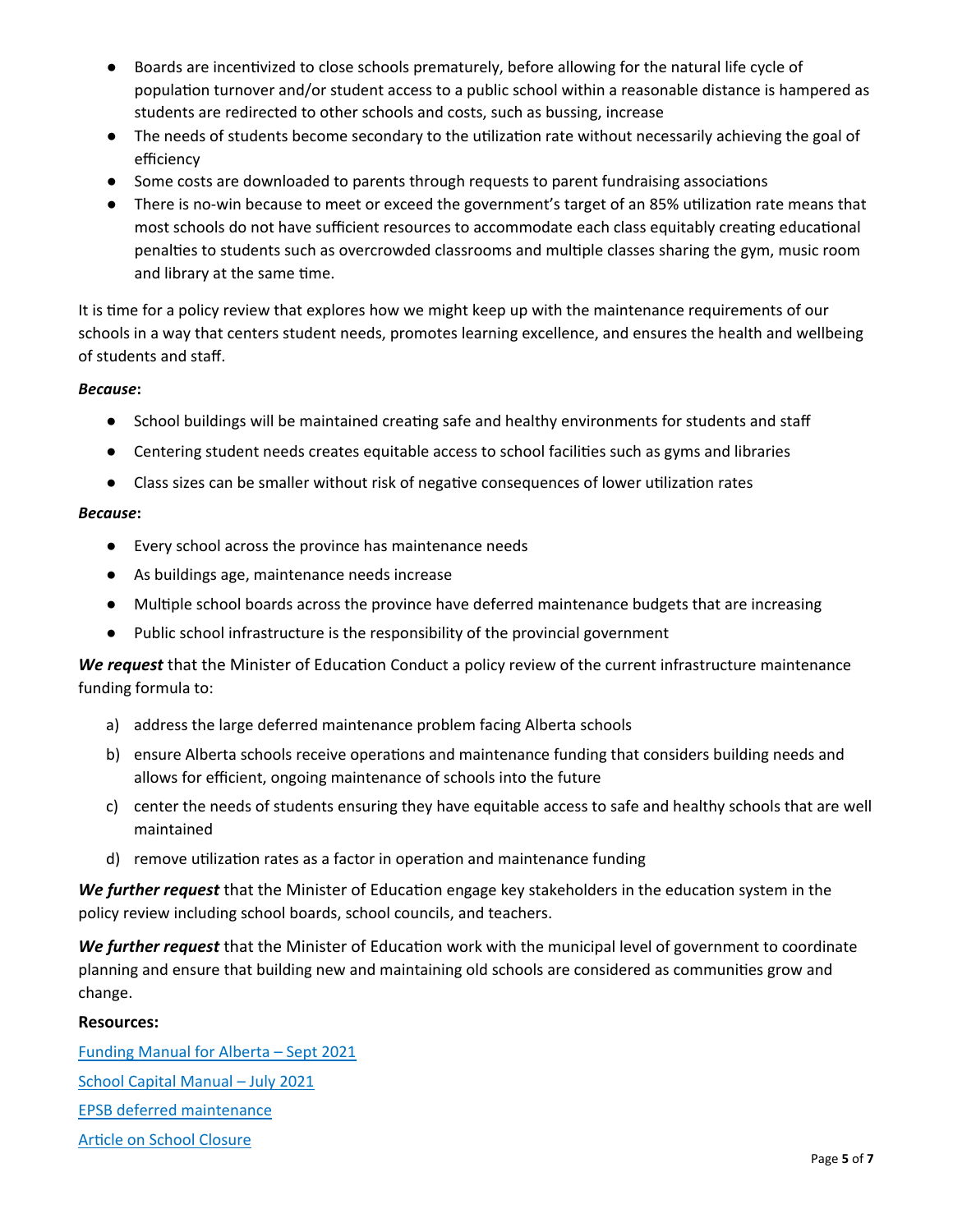- Boards are incentivized to close schools prematurely, before allowing for the natural life cycle of population turnover and/or student access to a public school within a reasonable distance is hampered as students are redirected to other schools and costs, such as bussing, increase
- The needs of students become secondary to the utilization rate without necessarily achieving the goal of efficiency
- Some costs are downloaded to parents through requests to parent fundraising associations
- There is no-win because to meet or exceed the government's target of an 85% utilization rate means that most schools do not have sufficient resources to accommodate each class equitably creating educational penalties to students such as overcrowded classrooms and multiple classes sharing the gym, music room and library at the same time.

It is time for a policy review that explores how we might keep up with the maintenance requirements of our schools in a way that centers student needs, promotes learning excellence, and ensures the health and wellbeing of students and staff.

#### *Because***:**

- School buildings will be maintained creating safe and healthy environments for students and staff
- Centering student needs creates equitable access to school facilities such as gyms and libraries
- Class sizes can be smaller without risk of negative consequences of lower utilization rates

#### *Because***:**

- Every school across the province has maintenance needs
- As buildings age, maintenance needs increase
- Multiple school boards across the province have deferred maintenance budgets that are increasing
- Public school infrastructure is the responsibility of the provincial government

*We request* that the Minister of Education Conduct a policy review of the current infrastructure maintenance funding formula to:

- a) address the large deferred maintenance problem facing Alberta schools
- b) ensure Alberta schools receive operations and maintenance funding that considers building needs and allows for efficient, ongoing maintenance of schools into the future
- c) center the needs of students ensuring they have equitable access to safe and healthy schools that are well maintained
- d) remove utilization rates as a factor in operation and maintenance funding

*We further request* that the Minister of Education engage key stakeholders in the education system in the policy review including school boards, school councils, and teachers.

*We further request* that the Minister of Education work with the municipal level of government to coordinate planning and ensure that building new and maintaining old schools are considered as communities grow and change.

#### **Resources:**

[Funding Manual for Alberta –](https://open.alberta.ca/dataset/8f3b4972-4c47-4009-a090-5b470e68d633/resource/f788868f-5f44-47b8-b071-1c6f56ef8cbc/download/edc-funding-manual-2021-2022-school-year-september-2021.pdf) Sept 2021 [School Capital Manual –](https://open.alberta.ca/dataset/bc9223b2-74b3-4e51-83a0-277ed54498da/resource/023ba498-c2e4-4bf3-8d17-16698c375f36/download/edc-school-capital-manual-chapter-11-2021-07.pdf) July 2021 [EPSB deferred maintenance](https://www.epsb.ca/ourdistrict/results/capitalplanning/) [Article on School Closure](https://calgaryherald.com/news/local-news/updated-plan-warns-of-potential-closure-to-16-public-schools-over-eight-years)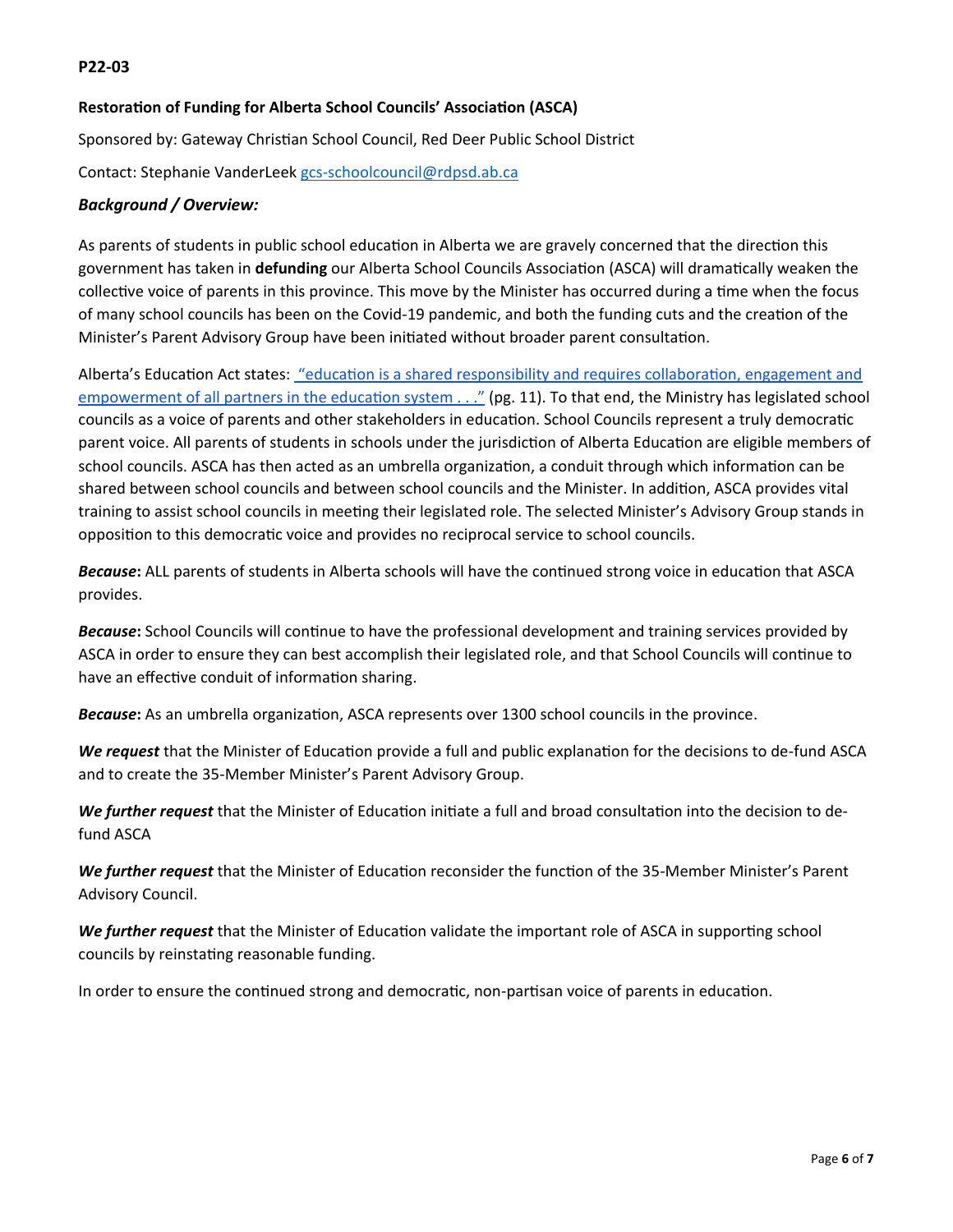## <span id="page-5-0"></span>**Restoration of Funding for Alberta School Councils' Association (ASCA)**

Sponsored by: Gateway Christian School Council, Red Deer Public School District Contact: Stephanie VanderLeek [gcs-schoolcouncil@rdpsd.ab.ca](mailto:gcs-schoolcouncil@rdpsd.ab.ca)

## *Background / Overview:*

As parents of students in public school education in Alberta we are gravely concerned that the direction this government has taken in **defunding** our Alberta School Councils Association (ASCA) will dramatically weaken the collective voice of parents in this province. This move by the Minister has occurred during a time when the focus of many school councils has been on the Covid-19 pandemic, and both the funding cuts and the creation of the Minister's Parent Advisory Group have been initiated without broader parent consultation.

Alberta's Education Act states: ["education is a shared responsibility and requires collaboration, engagement and](https://www.albertaschoolcouncils.ca/public/download/files/98229)  [empowerment of all partners in the education system . . ."](https://www.albertaschoolcouncils.ca/public/download/files/98229) (pg. 11). To that end, the Ministry has legislated school councils as a voice of parents and other stakeholders in education. School Councils represent a truly democratic parent voice. All parents of students in schools under the jurisdiction of Alberta Education are eligible members of school councils. ASCA has then acted as an umbrella organization, a conduit through which information can be shared between school councils and between school councils and the Minister. In addition, ASCA provides vital training to assist school councils in meeting their legislated role. The selected Minister's Advisory Group stands in opposition to this democratic voice and provides no reciprocal service to school councils.

*Because***:** ALL parents of students in Alberta schools will have the continued strong voice in education that ASCA provides.

*Because***:** School Councils will continue to have the professional development and training services provided by ASCA in order to ensure they can best accomplish their legislated role, and that School Councils will continue to have an effective conduit of information sharing.

*Because***:** As an umbrella organization, ASCA represents over 1300 school councils in the province.

*We request* that the Minister of Education provide a full and public explanation for the decisions to de-fund ASCA and to create the 35-Member Minister's Parent Advisory Group.

*We further request* that the Minister of Education initiate a full and broad consultation into the decision to defund ASCA

*We further request* that the Minister of Education reconsider the function of the 35-Member Minister's Parent Advisory Council.

*We further request* that the Minister of Education validate the important role of ASCA in supporting school councils by reinstating reasonable funding.

In order to ensure the continued strong and democratic, non-partisan voice of parents in education.